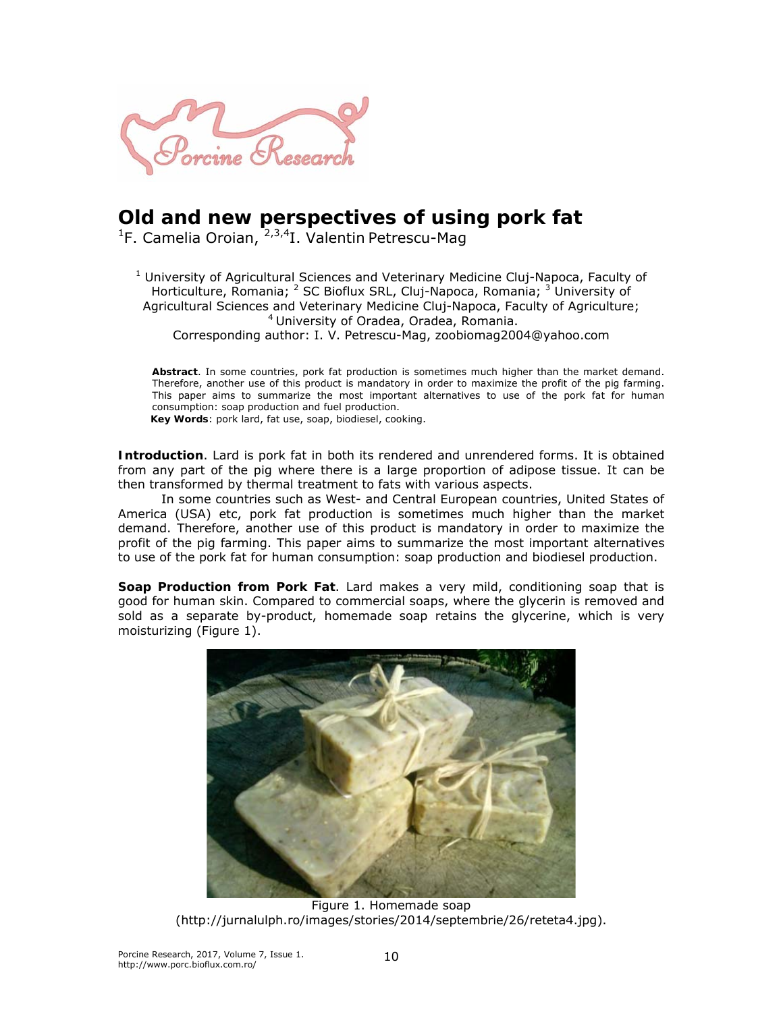

## **Old and new perspectives of using pork fat**

<sup>1</sup>F. Camelia Oroian, <sup>2,3,4</sup>I. Valentin Petrescu-Mag

<sup>1</sup> University of Agricultural Sciences and Veterinary Medicine Cluj-Napoca, Faculty of Horticulture, Romania; <sup>2</sup> SC Bioflux SRL, Cluj-Napoca, Romania; <sup>3</sup> University of Agricultural Sciences and Veterinary Medicine Cluj-Napoca, Faculty of Agriculture; 4 University of Oradea, Oradea, Romania.

Corresponding author: I. V. Petrescu-Mag, zoobiomag2004@yahoo.com

**Abstract**. In some countries, pork fat production is sometimes much higher than the market demand. Therefore, another use of this product is mandatory in order to maximize the profit of the pig farming. This paper aims to summarize the most important alternatives to use of the pork fat for human consumption: soap production and fuel production.

**Key Words**: pork lard, fat use, soap, biodiesel, cooking.

**Introduction**. Lard is pork fat in both its rendered and unrendered forms. It is obtained from any part of the pig where there is a large proportion of adipose tissue. It can be then transformed by thermal treatment to fats with various aspects.

In some countries such as West- and Central European countries, United States of America (USA) etc, pork fat production is sometimes much higher than the market demand. Therefore, another use of this product is mandatory in order to maximize the profit of the pig farming. This paper aims to summarize the most important alternatives to use of the pork fat for human consumption: soap production and biodiesel production.

**Soap Production from Pork Fat**. Lard makes a very mild, conditioning soap that is good for human skin. Compared to commercial soaps, where the glycerin is removed and sold as a separate by-product, homemade soap retains the glycerine, which is very moisturizing (Figure 1).



Figure 1. Homemade soap (http://jurnalulph.ro/images/stories/2014/septembrie/26/reteta4.jpg).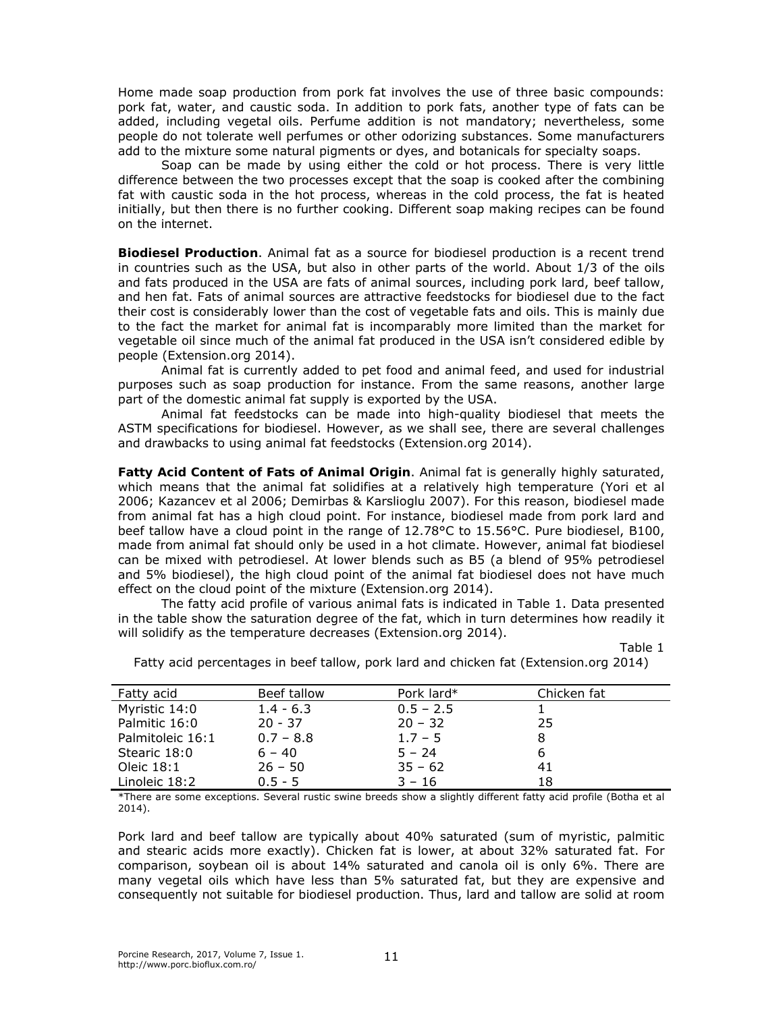Home made soap production from pork fat involves the use of three basic compounds: pork fat, water, and caustic soda. In addition to pork fats, another type of fats can be added, including vegetal oils. Perfume addition is not mandatory; nevertheless, some people do not tolerate well perfumes or other odorizing substances. Some manufacturers add to the mixture some natural pigments or dyes, and botanicals for specialty soaps.

Soap can be made by using either the cold or hot process. There is very little difference between the two processes except that the soap is cooked after the combining fat with caustic soda in the hot process, whereas in the cold process, the fat is heated initially, but then there is no further cooking. Different soap making recipes can be found on the internet.

**Biodiesel Production**. Animal fat as a source for biodiesel production is a recent trend in countries such as the USA, but also in other parts of the world. About 1/3 of the oils and fats produced in the USA are fats of animal sources, including pork lard, beef tallow, and hen fat. Fats of animal sources are attractive feedstocks for biodiesel due to the fact their cost is considerably lower than the cost of vegetable fats and oils. This is mainly due to the fact the market for animal fat is incomparably more limited than the market for vegetable oil since much of the animal fat produced in the USA isn't considered edible by people (Extension.org 2014).

Animal fat is currently added to pet food and animal feed, and used for industrial purposes such as soap production for instance. From the same reasons, another large part of the domestic animal fat supply is exported by the USA.

Animal fat feedstocks can be made into high-quality biodiesel that meets the ASTM specifications for biodiesel. However, as we shall see, there are several challenges and drawbacks to using animal fat feedstocks (Extension.org 2014).

*Fatty Acid Content of Fats of Animal Origin*. Animal fat is generally highly saturated, which means that the animal fat solidifies at a relatively high temperature (Yori et al 2006; Kazancev et al 2006; Demirbas & Karslioglu 2007). For this reason, biodiesel made from animal fat has a high cloud point. For instance, biodiesel made from pork lard and beef tallow have a cloud point in the range of 12.78°C to 15.56°C. Pure biodiesel, B100, made from animal fat should only be used in a hot climate. However, animal fat biodiesel can be mixed with petrodiesel. At lower blends such as B5 (a blend of 95% petrodiesel and 5% biodiesel), the high cloud point of the animal fat biodiesel does not have much effect on the cloud point of the mixture (Extension.org 2014).

The fatty acid profile of various animal fats is indicated in Table 1. Data presented in the table show the saturation degree of the fat, which in turn determines how readily it will solidify as the temperature decreases (Extension.org 2014).

Table 1

| <i>Fatty acid</i> | Beef tallow | Pork lard $*$ | Chicken fat |  |
|-------------------|-------------|---------------|-------------|--|
| Myristic 14:0     | $1.4 - 6.3$ | $0.5 - 2.5$   |             |  |
| Palmitic 16:0     | 20 - 37     | $20 - 32$     | 25          |  |
| Palmitoleic 16:1  | $0.7 - 8.8$ | $1.7 - 5$     |             |  |
| Stearic 18:0      | $6 - 40$    | $5 - 24$      |             |  |
| Oleic 18:1        | $26 - 50$   | $35 - 62$     | 41          |  |
| Linoleic 18:2     | $0.5 - 5$   | $3 - 16$      | 18          |  |

Fatty acid percentages in beef tallow, pork lard and chicken fat (Extension.org 2014)

\*There are some exceptions. Several rustic swine breeds show a slightly different fatty acid profile (Botha et al 2014).

Pork lard and beef tallow are typically about 40% saturated (sum of myristic, palmitic and stearic acids more exactly). Chicken fat is lower, at about 32% saturated fat. For comparison, soybean oil is about 14% saturated and canola oil is only 6%. There are many vegetal oils which have less than 5% saturated fat, but they are expensive and consequently not suitable for biodiesel production. Thus, lard and tallow are solid at room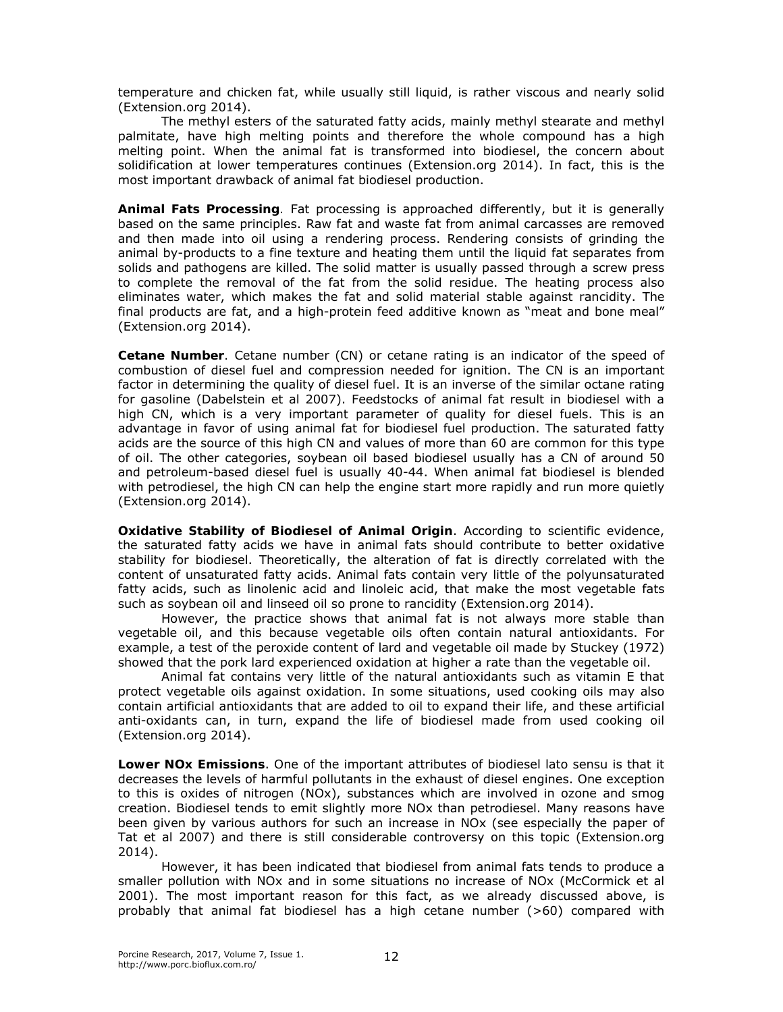temperature and chicken fat, while usually still liquid, is rather viscous and nearly solid (Extension.org 2014).

The methyl esters of the saturated fatty acids, mainly methyl stearate and methyl palmitate, have high melting points and therefore the whole compound has a high melting point. When the animal fat is transformed into biodiesel, the concern about solidification at lower temperatures continues (Extension.org 2014). In fact, this is the most important drawback of animal fat biodiesel production.

*Animal Fats Processing.* Fat processing is approached differently, but it is generally based on the same principles. Raw fat and waste fat from animal carcasses are removed and then made into oil using a rendering process. Rendering consists of grinding the animal by-products to a fine texture and heating them until the liquid fat separates from solids and pathogens are killed. The solid matter is usually passed through a screw press to complete the removal of the fat from the solid residue. The heating process also eliminates water, which makes the fat and solid material stable against rancidity. The final products are fat, and a high-protein feed additive known as "meat and bone meal" (Extension.org 2014).

*Cetane Number.* Cetane number (CN) or cetane rating is an indicator of the speed of combustion of diesel fuel and compression needed for ignition. The CN is an important factor in determining the quality of diesel fuel. It is an inverse of the similar octane rating for gasoline (Dabelstein et al 2007). Feedstocks of animal fat result in biodiesel with a high CN, which is a very important parameter of quality for diesel fuels. This is an advantage in favor of using animal fat for biodiesel fuel production. The saturated fatty acids are the source of this high CN and values of more than 60 are common for this type of oil. The other categories, soybean oil based biodiesel usually has a CN of around 50 and petroleum-based diesel fuel is usually 40-44. When animal fat biodiesel is blended with petrodiesel, the high CN can help the engine start more rapidly and run more quietly (Extension.org 2014).

*Oxidative Stability of Biodiesel of Animal Origin*. According to scientific evidence, the saturated fatty acids we have in animal fats should contribute to better oxidative stability for biodiesel. Theoretically, the alteration of fat is directly correlated with the content of unsaturated fatty acids. Animal fats contain very little of the polyunsaturated fatty acids, such as linolenic acid and linoleic acid, that make the most vegetable fats such as soybean oil and linseed oil so prone to rancidity (Extension.org 2014).

However, the practice shows that animal fat is not always more stable than vegetable oil, and this because vegetable oils often contain natural antioxidants. For example, a test of the peroxide content of lard and vegetable oil made by Stuckey (1972) showed that the pork lard experienced oxidation at higher a rate than the vegetable oil.

Animal fat contains very little of the natural antioxidants such as vitamin E that protect vegetable oils against oxidation. In some situations, used cooking oils may also contain artificial antioxidants that are added to oil to expand their life, and these artificial anti-oxidants can, in turn, expand the life of biodiesel made from used cooking oil (Extension.org 2014).

*Lower NOx Emissions*. One of the important attributes of biodiesel *lato sensu* is that it decreases the levels of harmful pollutants in the exhaust of diesel engines. One exception to this is oxides of nitrogen (NOx), substances which are involved in ozone and smog creation. Biodiesel tends to emit slightly more NOx than petrodiesel. Many reasons have been given by various authors for such an increase in NOx (see especially the paper of Tat et al 2007) and there is still considerable controversy on this topic (Extension.org 2014).

However, it has been indicated that biodiesel from animal fats tends to produce a smaller pollution with NOx and in some situations no increase of NOx (McCormick et al 2001). The most important reason for this fact, as we already discussed above, is probably that animal fat biodiesel has a high cetane number (>60) compared with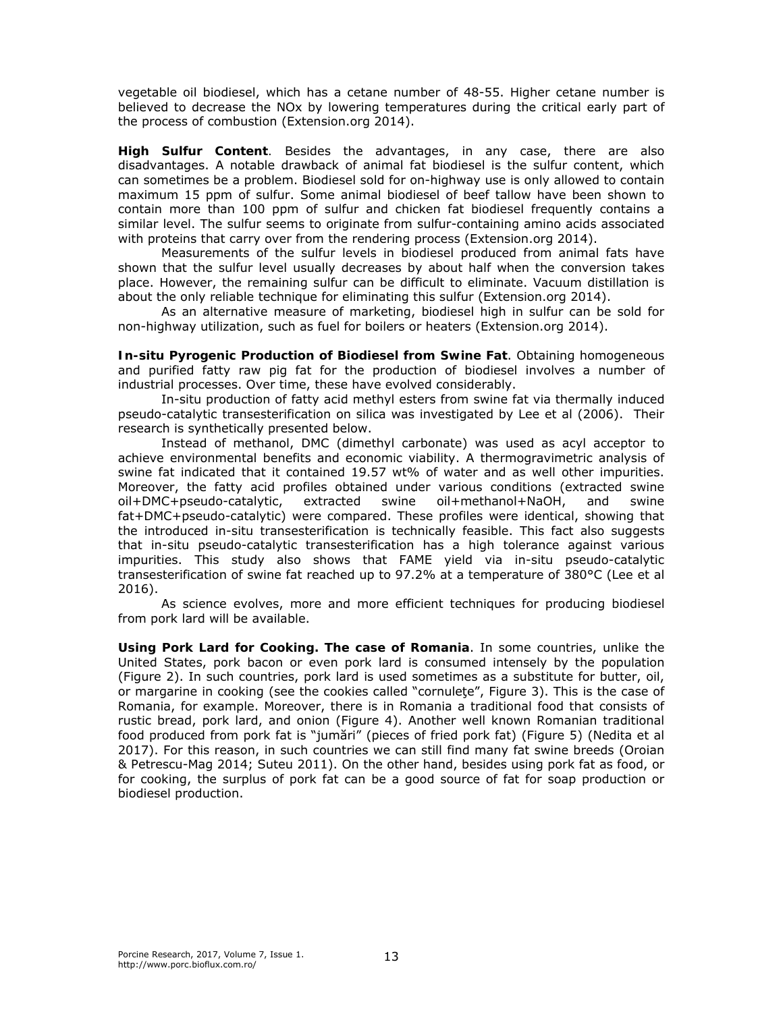vegetable oil biodiesel, which has a cetane number of 48-55. Higher cetane number is believed to decrease the NOx by lowering temperatures during the critical early part of the process of combustion (Extension.org 2014).

*High Sulfur Content.* Besides the advantages, in any case, there are also disadvantages. A notable drawback of animal fat biodiesel is the sulfur content, which can sometimes be a problem. Biodiesel sold for on-highway use is only allowed to contain maximum 15 ppm of sulfur. Some animal biodiesel of beef tallow have been shown to contain more than 100 ppm of sulfur and chicken fat biodiesel frequently contains a similar level. The sulfur seems to originate from sulfur-containing amino acids associated with proteins that carry over from the rendering process (Extension.org 2014).

Measurements of the sulfur levels in biodiesel produced from animal fats have shown that the sulfur level usually decreases by about half when the conversion takes place. However, the remaining sulfur can be difficult to eliminate. Vacuum distillation is about the only reliable technique for eliminating this sulfur (Extension.org 2014).

As an alternative measure of marketing, biodiesel high in sulfur can be sold for non-highway utilization, such as fuel for boilers or heaters (Extension.org 2014).

*In-situ Pyrogenic Production of Biodiesel from Swine Fat*. Obtaining homogeneous and purified fatty raw pig fat for the production of biodiesel involves a number of industrial processes. Over time, these have evolved considerably.

In-situ production of fatty acid methyl esters from swine fat via thermally induced pseudo-catalytic transesterification on silica was investigated by Lee et al (2006). Their research is synthetically presented below.

Instead of methanol, DMC (dimethyl carbonate) was used as acyl acceptor to achieve environmental benefits and economic viability. A thermogravimetric analysis of swine fat indicated that it contained 19.57 wt% of water and as well other impurities. Moreover, the fatty acid profiles obtained under various conditions (extracted swine oil+DMC+pseudo-catalytic, extracted swine oil+methanol+NaOH, and swine fat+DMC+pseudo-catalytic) were compared. These profiles were identical, showing that the introduced in-situ transesterification is technically feasible. This fact also suggests that in-situ pseudo-catalytic transesterification has a high tolerance against various impurities. This study also shows that FAME yield via in-situ pseudo-catalytic transesterification of swine fat reached up to 97.2% at a temperature of 380°C (Lee et al 2016).

As science evolves, more and more efficient techniques for producing biodiesel from pork lard will be available.

**Using Pork Lard for Cooking. The case of Romania**. In some countries, unlike the United States, pork bacon or even pork lard is consumed intensely by the population (Figure 2). In such countries, pork lard is used sometimes as a substitute for butter, oil, or margarine in cooking (see the cookies called "cornuleţe", Figure 3). This is the case of Romania, for example. Moreover, there is in Romania a traditional food that consists of rustic bread, pork lard, and onion (Figure 4). Another well known Romanian traditional food produced from pork fat is "jumări" (pieces of fried pork fat) (Figure 5) (Nedita et al 2017). For this reason, in such countries we can still find many fat swine breeds (Oroian & Petrescu-Mag 2014; Suteu 2011). On the other hand, besides using pork fat as food, or for cooking, the surplus of pork fat can be a good source of fat for soap production or biodiesel production.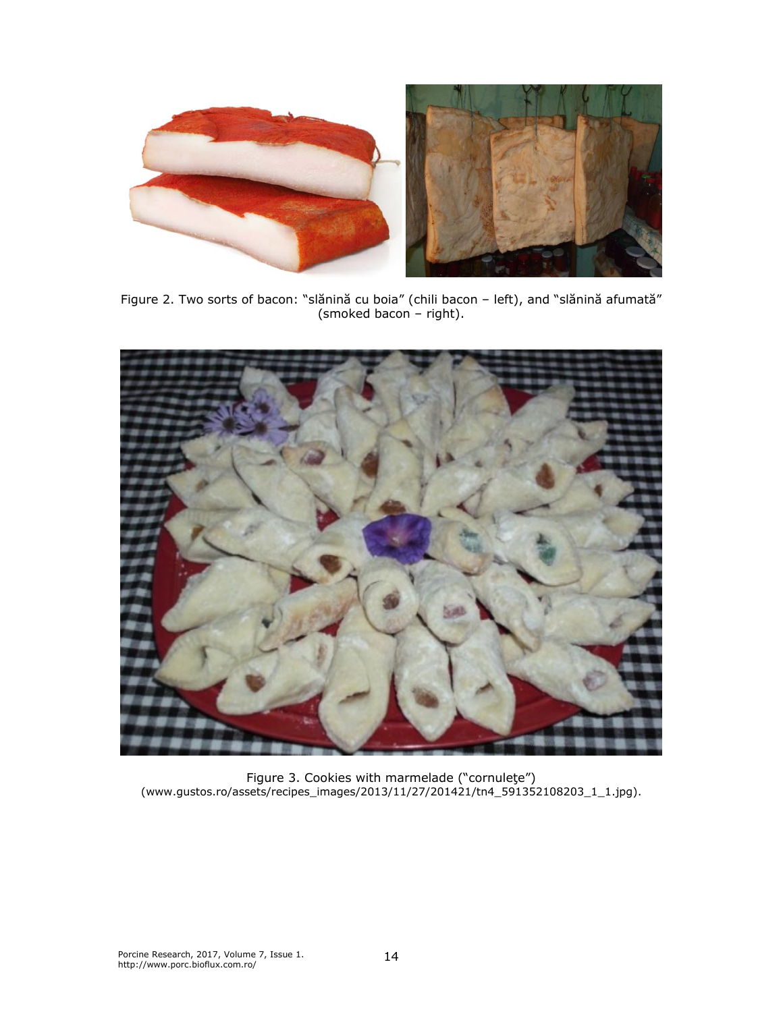

Figure 2. Two sorts of bacon: "slănină cu boia" (chili bacon – left), and "slănină afumată" (smoked bacon – right).



Figure 3. Cookies with marmelade ("cornuleţe") (www.gustos.ro/assets/recipes\_images/2013/11/27/201421/tn4\_591352108203\_1\_1.jpg).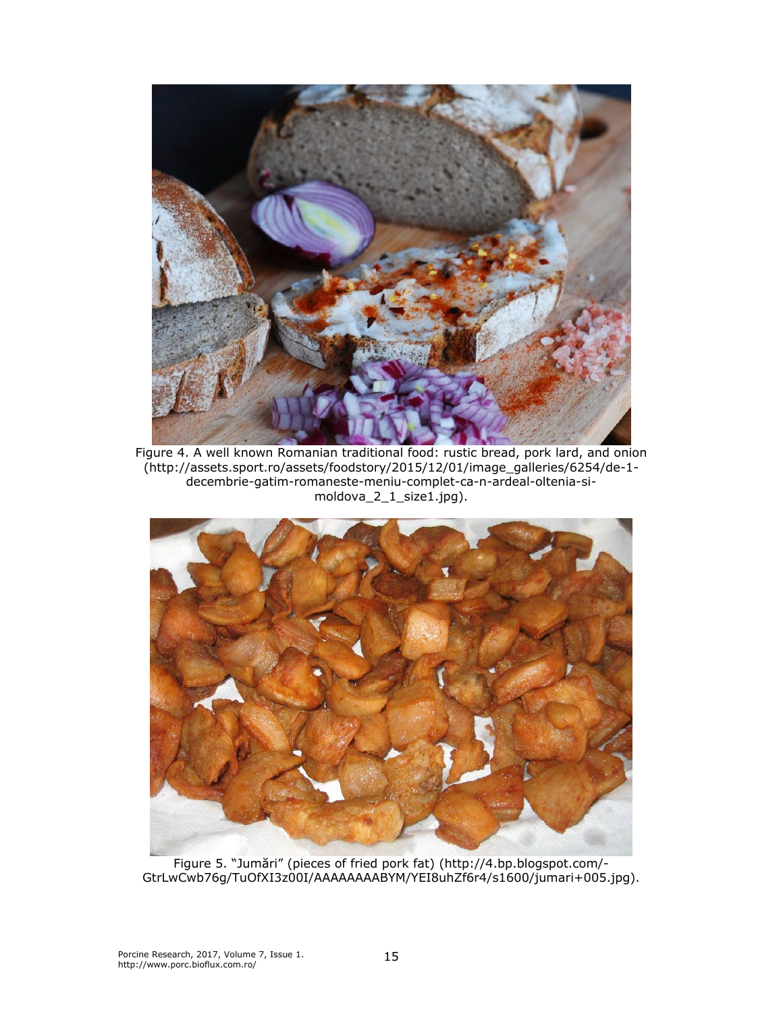

Figure 4. A well known Romanian traditional food: rustic bread, pork lard, and onion (http://assets.sport.ro/assets/foodstory/2015/12/01/image\_galleries/6254/de-1 decembrie-gatim-romaneste-meniu-complet-ca-n-ardeal-oltenia-simoldova\_2\_1\_size1.jpg).



Figure 5. "Jumări" (pieces of fried pork fat) (http://4.bp.blogspot.com/- GtrLwCwb76g/TuOfXI3z00I/AAAAAAAABYM/YEI8uhZf6r4/s1600/jumari+005.jpg).